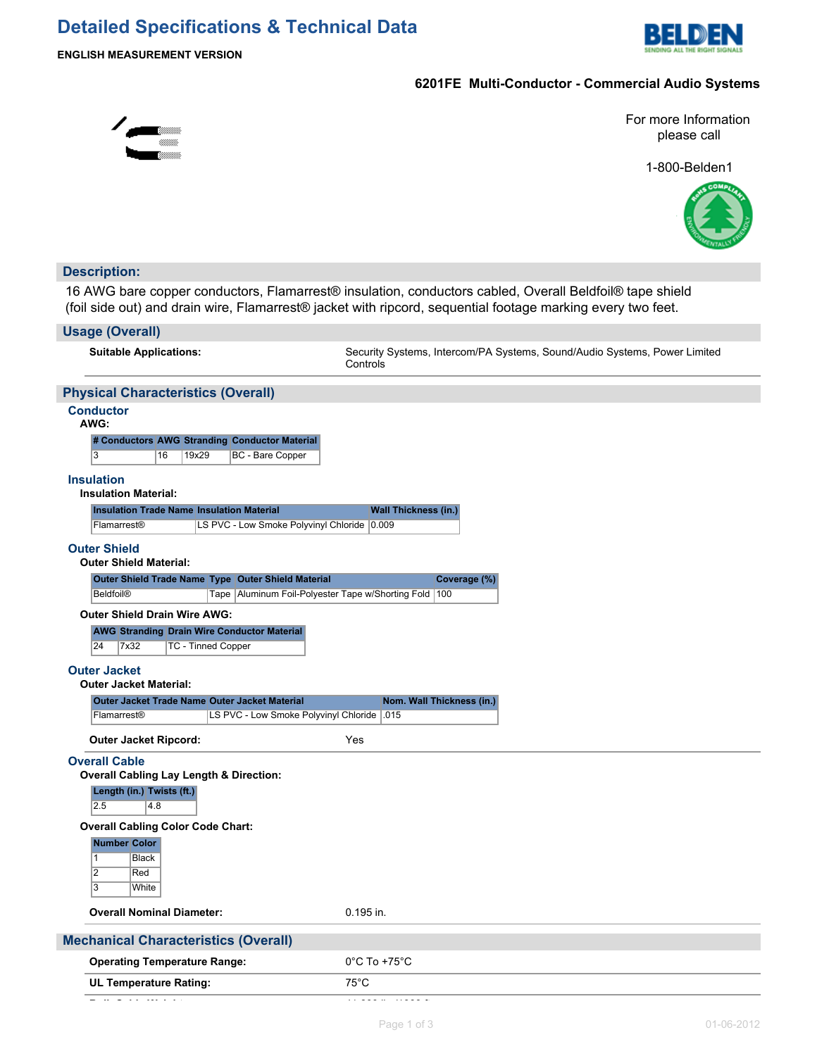# **Detailed Specifications & Technical Data**



## **6201FE Multi-Conductor - Commercial Audio Systems**



For more Information please call

1-800-Belden1



## **Description:**

16 AWG bare copper conductors, Flamarrest® insulation, conductors cabled, Overall Beldfoil® tape shield (foil side out) and drain wire, Flamarrest® jacket with ripcord, sequential footage marking every two feet.

#### **Usage (Overall)**

**Suitable Applications:** Security Systems, Intercom/PA Systems, Sound/Audio Systems, Power Limited **Controls** 

## **Physical Characteristics (Overall)**

#### **Conductor AWG:**

| vvG: |              |       |                                               |  |  |  |
|------|--------------|-------|-----------------------------------------------|--|--|--|
|      |              |       | # Conductors AWG Stranding Conductor Material |  |  |  |
| 13   | $ 16\rangle$ | 19x29 | BC - Bare Copper                              |  |  |  |

#### **Insulation**

### **Insulation Material:**

| <b>Insulation Trade Name Insulation Material</b> |                                             | <b>Wall Thickness (in.)</b> |
|--------------------------------------------------|---------------------------------------------|-----------------------------|
| <b>Flamarrest®</b>                               | LS PVC - Low Smoke Polyvinyl Chloride 0.009 |                             |

### **Outer Shield**

|  |  | <b>Outer Shield Material:</b> |  |
|--|--|-------------------------------|--|
|--|--|-------------------------------|--|

| Outer Shield Trade Name Type Outer Shield Material |  |                                                           | Coverage (%) |
|----------------------------------------------------|--|-----------------------------------------------------------|--------------|
| Beldfoil <sup>®</sup>                              |  | Tape   Aluminum Foil-Polyester Tape w/Shorting Fold   100 |              |

#### **Outer Shield Drain Wire AWG:**

|            |                          | <b>AWG Stranding Drain Wire Conductor Material</b> |
|------------|--------------------------|----------------------------------------------------|
| $\sqrt{2}$ | $\overline{\phantom{a}}$ | $\mathbf{F} \cap \mathbf{F}$ $\cap$                |

24 7x32 TC - Tinned Copper

## **Outer Jacket**

## **Outer Jacket Material:**

| Outer Jacket Trade Name Outer Jacket Material |             |                                             | Nom. Wall Thickness (in.) |  |  |
|-----------------------------------------------|-------------|---------------------------------------------|---------------------------|--|--|
|                                               | Flamarrest® | LS PVC - Low Smoke Polyvinyl Chloride   015 |                           |  |  |

**Outer Jacket Ripcord:** Yes

#### **Overall Cable**

| Overall Cabling Lay Length & Direction: |  |
|-----------------------------------------|--|
| Length (in.) Twists (ft.)               |  |

| 12.5 |  | 48 |  |  |  |
|------|--|----|--|--|--|

#### **Overall Cabling Color Code Chart:**

## **Number Color**

| <b>Black</b> |
|--------------|
| Red          |
| White        |

#### **Overall Nominal Diameter:** 0.195 in.

| <b>Mechanical Characteristics (Overall)</b> |       |
|---------------------------------------------|-------|
| Operating Temperature Panger                | ∩∘∩ ⊤ |

| <b>Operating Temperature Range:</b> | 0°C To +75°C   |
|-------------------------------------|----------------|
| UL Temperature Rating:              | $75^{\circ}$ C |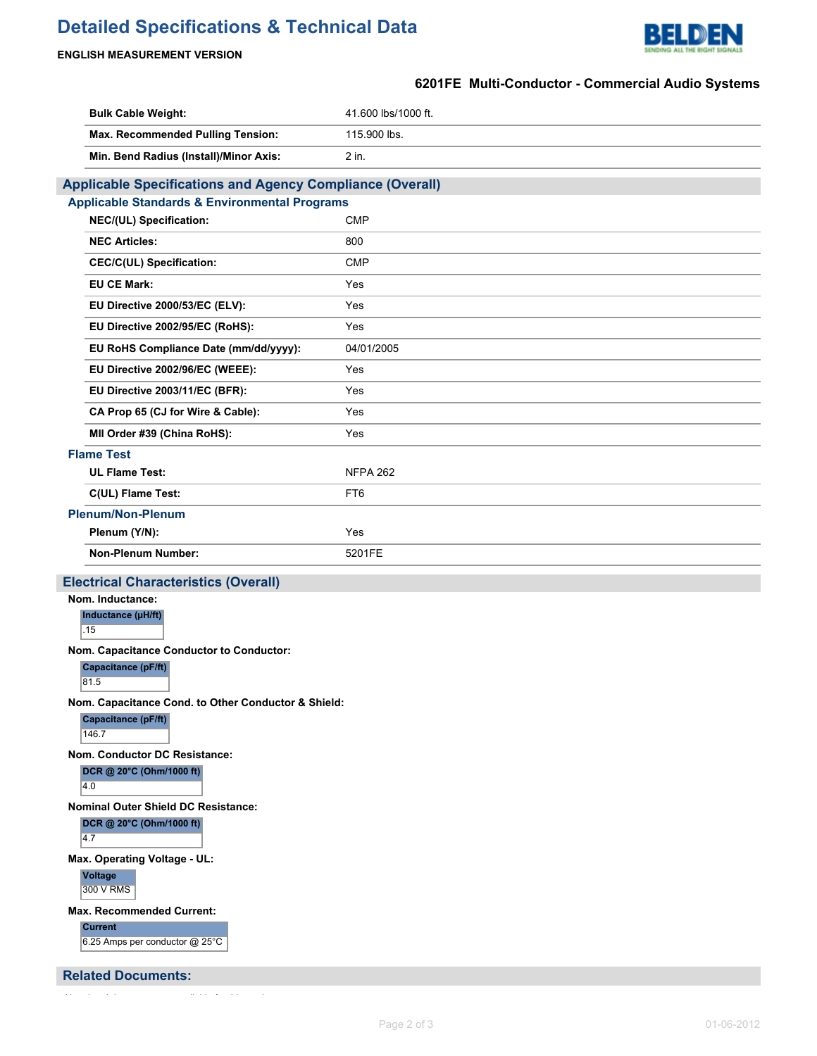# **Detailed Specifications & Technical Data**



## **ENGLISH MEASUREMENT VERSION**

## **6201FE Multi-Conductor - Commercial Audio Systems**

| <b>Bulk Cable Weight:</b>                                                           | 41.600 lbs/1000 ft. |  |  |  |
|-------------------------------------------------------------------------------------|---------------------|--|--|--|
| Max. Recommended Pulling Tension:                                                   | 115.900 lbs.        |  |  |  |
| Min. Bend Radius (Install)/Minor Axis:                                              | 2 in.               |  |  |  |
| <b>Applicable Specifications and Agency Compliance (Overall)</b>                    |                     |  |  |  |
| <b>Applicable Standards &amp; Environmental Programs</b>                            |                     |  |  |  |
| NEC/(UL) Specification:                                                             | <b>CMP</b>          |  |  |  |
| <b>NEC Articles:</b>                                                                | 800                 |  |  |  |
| CEC/C(UL) Specification:                                                            | <b>CMP</b>          |  |  |  |
| <b>EU CE Mark:</b>                                                                  | Yes                 |  |  |  |
| EU Directive 2000/53/EC (ELV):                                                      | Yes                 |  |  |  |
| EU Directive 2002/95/EC (RoHS):                                                     | Yes                 |  |  |  |
| EU RoHS Compliance Date (mm/dd/yyyy):                                               | 04/01/2005          |  |  |  |
| EU Directive 2002/96/EC (WEEE):                                                     | Yes                 |  |  |  |
| EU Directive 2003/11/EC (BFR):                                                      | Yes                 |  |  |  |
| CA Prop 65 (CJ for Wire & Cable):                                                   | Yes                 |  |  |  |
| MII Order #39 (China RoHS):                                                         | Yes                 |  |  |  |
| <b>Flame Test</b>                                                                   |                     |  |  |  |
| <b>UL Flame Test:</b>                                                               | <b>NFPA 262</b>     |  |  |  |
| C(UL) Flame Test:                                                                   | FT <sub>6</sub>     |  |  |  |
| <b>Plenum/Non-Plenum</b>                                                            |                     |  |  |  |
| Plenum (Y/N):                                                                       | Yes                 |  |  |  |
| Non-Plenum Number:                                                                  | 5201FE              |  |  |  |
| <b>Electrical Characteristics (Overall)</b>                                         |                     |  |  |  |
| Nom. Inductance:<br>Inductance (µH/ft)<br>.15                                       |                     |  |  |  |
| Nom. Capacitance Conductor to Conductor:<br>Capacitance (pF/ft)<br>81.5             |                     |  |  |  |
| Nom. Capacitance Cond. to Other Conductor & Shield:<br>Capacitance (pF/ft)<br>146.7 |                     |  |  |  |
| <b>Nom. Conductor DC Resistance:</b><br>DCR @ 20°C (Ohm/1000 ft)<br>4.0             |                     |  |  |  |
| Nominal Outer Shield DC Resistance:<br>DCR @ 20°C (Ohm/1000 ft)<br>4.7              |                     |  |  |  |
| Max. Operating Voltage - UL:<br><b>Voltage</b><br>300 V RMS                         |                     |  |  |  |
| <b>Max. Recommended Current:</b><br><b>Current</b>                                  |                     |  |  |  |

6.25 Amps per conductor @ 25°C

**Related Documents:**